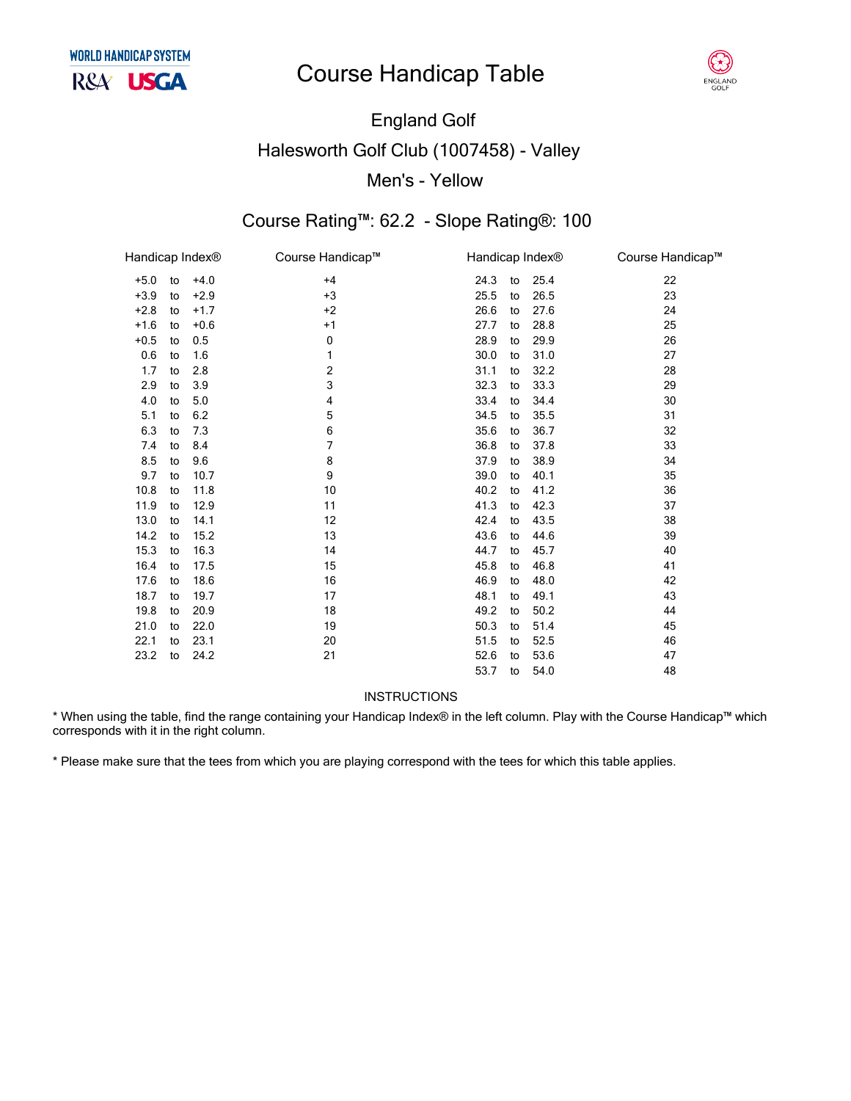# **Course Handicap Table**



# **England Golf Halesworth Golf Club (1007458) - Valley** Men's - Yellow

#### Course Rating™: 62.2 - Slope Rating®: 100

| Handicap Index <sup>®</sup> |    |        | Course Handicap™ | Handicap Index <sup>®</sup> |    |      | Course Handicap™ |
|-----------------------------|----|--------|------------------|-----------------------------|----|------|------------------|
| $+5.0$                      | to | $+4.0$ | $+4$             | 24.3                        | to | 25.4 | 22               |
| $+3.9$                      | to | $+2.9$ | $+3$             | 25.5                        | to | 26.5 | 23               |
| $+2.8$                      | to | $+1.7$ | $+2$             | 26.6                        | to | 27.6 | 24               |
| $+1.6$                      | to | $+0.6$ | $+1$             | 27.7                        | to | 28.8 | 25               |
| $+0.5$                      | to | 0.5    | 0                | 28.9                        | to | 29.9 | 26               |
| 0.6                         | to | 1.6    | 1                | 30.0                        | to | 31.0 | 27               |
| 1.7                         | to | 2.8    | 2                | 31.1                        | to | 32.2 | 28               |
| 2.9                         | to | 3.9    | 3                | 32.3                        | to | 33.3 | 29               |
| 4.0                         | to | 5.0    | 4                | 33.4                        | to | 34.4 | 30               |
| 5.1                         | to | 6.2    | 5                | 34.5                        | to | 35.5 | 31               |
| 6.3                         | to | 7.3    | 6                | 35.6                        | to | 36.7 | 32               |
| 7.4                         | to | 8.4    | 7                | 36.8                        | to | 37.8 | 33               |
| 8.5                         | to | 9.6    | 8                | 37.9                        | to | 38.9 | 34               |
| 9.7                         | to | 10.7   | 9                | 39.0                        | to | 40.1 | 35               |
| 10.8                        | to | 11.8   | 10               | 40.2                        | to | 41.2 | 36               |
| 11.9                        | to | 12.9   | 11               | 41.3                        | to | 42.3 | 37               |
| 13.0                        | to | 14.1   | 12               | 42.4                        | to | 43.5 | 38               |
| 14.2                        | to | 15.2   | 13               | 43.6                        | to | 44.6 | 39               |
| 15.3                        | to | 16.3   | 14               | 44.7                        | to | 45.7 | 40               |
| 16.4                        | to | 17.5   | 15               | 45.8                        | to | 46.8 | 41               |
| 17.6                        | to | 18.6   | 16               | 46.9                        | to | 48.0 | 42               |
| 18.7                        | to | 19.7   | 17               | 48.1                        | to | 49.1 | 43               |
| 19.8                        | to | 20.9   | 18               | 49.2                        | to | 50.2 | 44               |
| 21.0                        | to | 22.0   | 19               | 50.3                        | to | 51.4 | 45               |
| 22.1                        | to | 23.1   | 20               | 51.5                        | to | 52.5 | 46               |
| 23.2                        | to | 24.2   | 21               | 52.6                        | to | 53.6 | 47               |
|                             |    |        |                  | 53.7                        | to | 54.0 | 48               |

#### **INSTRUCTIONS**

\* When using the table, find the range containing your Handicap Index® in the left column. Play with the Course Handicap™ which corresponds with it in the right column.

\* Please make sure that the tees from which you are playing correspond with the tees for which this table applies.